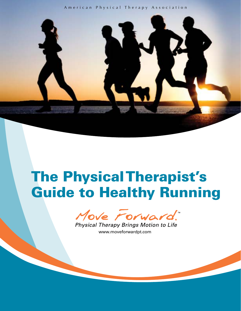## American Physical Therapy Association



# The Physical Therapist's Guide to Healthy Running

Move Forward.

Physical Therapy Brings Motion to Life [www.moveforwardpt.com](http://www.moveforwardpt.com) [www.moveforwardpt.com](http://www.moveforwardpt.com)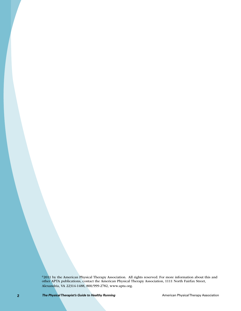©2011 by the American Physical Therapy Association. All rights reserved. For more information about this and other APTA publications, contact the American Physical Therapy Association, 1111 North Fairfax Street, Alexandria, VA 22314-1488, 800/999-2782, [www.apta.org.](http://www.apta.org)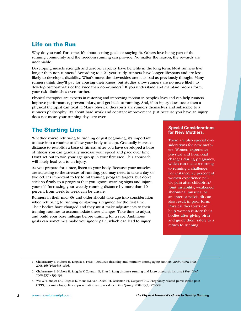# Life on the Run

Why do you run? For some, it's about setting goals or staying fit. Others love being part of the running community and the freedom running can provide. No matter the reason, the rewards are undeniable.

Developing muscle strength and aerobic capacity have benefits in the long term. Most runners live longer than non-runners.<sup>1</sup> According to a 21-year study, runners have longer lifespans and are less likely to develop a disability. What's more, the downsides aren't as bad as previously thought. Many runners think they'll pay for abusing their knees, but studies show runners are no more likely to develop osteoarthritis of the knee than non-runners.<sup>2</sup> If you understand and maintain proper form, your risk diminishes even further.

Physical therapists are experts in restoring and improving motion in people's lives and can help runners improve performance, prevent injury, and get back to running. And, if an injury does occur then a physical therapist can treat it. Many physical therapists are runners themselves and subscribe to a runner's philosophy: It's about hard work and constant improvement. Just because you have an injury does not mean your running days are over.

# The Starting Line

Whether you're returning to running or just beginning, it's important to ease into a routine to allow your body to adapt. Gradually increase distance to establish a base of fitness. After you have developed a base of fitness you can gradually increase your speed and pace over time. Don't set out to win your age group in your first race. This approach will likely lead you to an injury.

As you prepare for a race, listen to your body. Because your muscles are adjusting to the stresses of running, you may need to take a day or two off. It's important to try to hit training program targets, but don't stick so firmly to a program that you ignore warning signs and injure yourself. Increasing your weekly running distance by more than 10 percent from week to week can be unsafe.

Runners in their mid-30s and older should take age into consideration when returning to running or starting a regimen for the first time. Their bodies have changed and they must make adjustments to their training routines to accommodate these changes. Take time to adjust, and build your base mileage before training for a race. Ambitious goals can sometimes make you ignore pain, which can lead to injury.

### **Special Considerations for New Mothers.**

There are also special considerations for new mothers. Women experience physical and hormonal changes during pregnancy, which can make returning to running a challenge. For instance, 25 percent of women experience pelvic pain after childbirth.3 Joint instability, weakened abdominal muscles, or an anterior pelvis tilt can also result in poor form. Physical therapists can help women restore their bodies after giving birth and guide them safely to a return to running.

- 1. Chakravarty E, Hubert H, Lingala V, Fries J. Reduced disability and mortality among aging runners. *Arch Intern Med.* 2008;168(15):1638-1646.
- 2. Chakravarty E, Hubert H, Lingala V, Zatarain E, Fries J. Long-distance running and knee osteoarthritis. *Am J Prev Med.* 2008;35(2):133-138.
- 3. Wu WH, Meijer OG, Uegaki K, Mens JM, van Dieën JH, Wuisman PI, Ostgaard HC. Pregnancy-related pelvic girdle pain (PPP), I: terminology, clinical presentation and prevalence. *Eur Spine J.* 2004;13(7):575-589.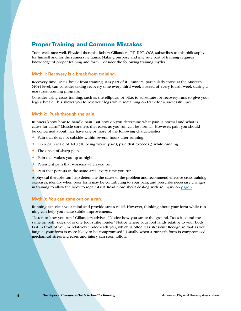## Proper Training and Common Mistakes

Train well, race well. Physical therapist Robert Gillanders, PT, DPT, OCS, subscribes to this philosophy for himself and for the runners he trains. Making purpose and intensity part of training requires knowledge of proper training and form. Consider the following training myths:

### **Myth 1: Recovery is a break from training.**

Recovery time isn't a break from training, it is part of it. Runners, particularly those at the Master's (40+) level, can consider taking recovery time every third week instead of every fourth week during a marathon training program.

Consider using cross training, such as the elliptical or bike, to substitute for recovery runs to give your legs a break. This allows you to rest your legs while remaining on track for a successful race.

## **Myth 2: Push through the pain.**

Runners know how to handle pain. But how do you determine what pain is normal and what is cause for alarm? Muscle soreness that eases as you run can be normal. However, pain you should be concerned about may have one or more of the following characteristics:

- ® Pain that does not subside within several hours after running.
- ® On a pain scale of 1-10 (10 being worse pain), pain that exceeds 3 while running.
- The onset of sharp pain.
- ® Pain that wakes you up at night.
- ® Persistent pain that worsens when you run.
- ® Pain that persists in the same area, every time you run.

A physical therapist can help determine the cause of the problem and recommend effective cross training exercises, identify when poor form may be contributing to your pain, and prescribe necessary changes in training to allow the body to repair itself. Read more about dealing with an injury on page 7.

#### **Myth 3: You can zone out on a run.**

Running can clear your mind and provide stress relief. However, thinking about your form while running can help you make subtle improvements.

"Listen to how you run," Gillanders advises. "Notice how you strike the ground. Does it sound the same on both sides, or is one foot strike louder? Notice where your foot lands relative to your body. Is it in front of you, or relatively underneath you, which is often less stressful? Recognize that as you fatigue, your form is more likely to be compromised." Usually when a runner's form is compromised mechanical stress increases and injury can soon follow.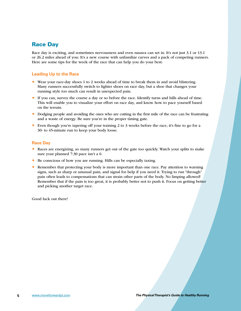# Race Day

Race day is exciting, and sometimes nervousness and even nausea can set in. It's not just 3.1 or 13.1 or 26.2 miles ahead of you: It's a new course with unfamiliar curves and a pack of competing runners. Here are some tips for the week of the race that can help you do your best:

## **Leading Up to the Race**

- ® Wear your race-day shoes 1 to 2 weeks ahead of time to break them in and avoid blistering. Many runners successfully switch to lighter shoes on race day, but a shoe that changes your running style too much can result in unexpected pain.
- ® If you can, survey the course a day or so before the race. Identify turns and hills ahead of time. This will enable you to visualize your effort on race day, and know how to pace yourself based on the terrain.
- ® Dodging people and avoiding the ones who are cutting in the first mile of the race can be frustrating and a waste of energy. Be sure you're in the proper timing gate.
- $\bullet$  Even though you're tapering off your training 2 to 3 weeks before the race, it's fine to go for a 30- to 45-minute run to keep your body loose.

## **Race Day**

- ® Races are energizing, so many runners get out of the gate too quickly. Watch your splits to make sure your planned 7:30 pace isn't a 6.
- ® Be conscious of how you are running. Hills can be especially taxing.
- Remember that protecting your body is more important than one race. Pay attention to warning signs, such as sharp or unusual pain, and signal for help if you need it. Trying to run "through" pain often leads to compensations that can strain other parts of the body. No limping allowed! Remember that if the pain is too great, it is probably better not to push it. Focus on getting better and picking another target race.

Good luck out there!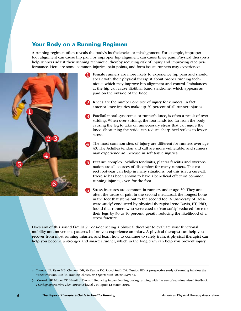## Your Body on a Running Regimen

A running regimen often reveals the body's inefficiencies or misalignment. For example, improper foot alignment can cause hip pain, or improper hip alignment can cause knee pain. Physical therapists help runners adjust their running technique, thereby reducing risk of injury and improving race performance. Here are some common injuries, pain points, and form issues runners may experience:



- **T** Female runners are more likely to experience hip pain and should speak with their physical therapist about proper running technique, which may improve hip alignment and control. Imbalances at the hip can cause iliotibial band syndrome, which appears as pain on the outside of the knee.
- Knees are the number one site of injury for runners. In fact, anterior knee injuries make up 20 percent of all runner injuries.<sup>4</sup>
- **Patellafemoral syndrome, or runner's knee, is often a result of over**striding. When over striding, the foot lands too far from the body causing the leg to take on unnecessary stress that can injure the knee. Shortening the stride can reduce sharp heel strikes to lessen stress.
- The most common sites of injury are different for runners over age 40. The Achilles tendon and calf are more vulnerable, and runners may experience an increase in soft tissue injuries.
- $\blacksquare$  Feet are complex. Achilles tendinitis, plantar fasciitis and overpronation are all sources of discomfort for many runners. The correct footwear can help in many situations, but this isn't a cure-all. Exercise has been shown to have a beneficial effect on common running injuries, even for the foot.
- Stress fractures are common in runners under age 30. They are often the cause of pain in the second metatarsal, the longest bone in the foot that stems out to the second toe. A University of Delaware study<sup>5</sup> conducted by physical therapist Irene Davis, PT, PhD, found that runners who were cued to "run softly" reduced force to their legs by 30 to 50 percent, greatly reducing the likelihood of a stress fracture.

Does any of this sound familiar? Consider seeing a physical therapist to evaluate your functional mobility and movement patterns before you experience an injury. A physical therapist can help you recover from most running injuries, and learn how to continue to safely train. A physical therapist can help you become a stronger and smarter runner, which in the long term can help you prevent injury.

5. Crowell HP, Milner CE, Hamill J, Davis, I. Reducing impact loading during running with the use of real-time visual feedback. *J Orthop Sports Phys Ther.* 2010;40(4):206-213, Epub 12 March 2010.

<sup>4.</sup> Taunton JE, Ryan MB, Clement DB, McKenzie DC, Lloyd-Smith DR, Zumbo BD. A prospective study of running injuries: the Vancouver Sun Run 'In Training' clinics. *Br J Sports Med.* 2003;37:239-44.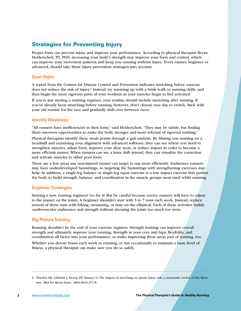# Strategies for Preventing Injury

Proper form can prevent injury and improve your performance. According to physical therapist Bryan Heiderscheit, PT, PhD, increasing your body's strength may improve your form and control, which can improve your movement patterns and keep you running without injury. Every runner, beginner or advanced, should take these injury-prevention strategies into account:

## **Start Right**

A report from the Centers for Disease Control and Prevention indicates stretching before exercise does not reduce the risk of injury.<sup>6</sup> Instead, try warming up with a brisk walk or running drills, and then begin the more rigorous parts of your workout as your muscles begin to feel activated.

If you're just starting a running regimen, your routine should include stretching after running. If you've already been stretching before running, however, don't choose race day to switch. Stick with your old routine for the race and gradually shift over between races.

## **Identify Weakness**

"All runners have inefficiencies in their form," said Heiderscheit. "They may be subtle, but finding them uncovers opportunities to make the body stronger and more tolerant of rigorous training."

Physical therapists identify these weak points through a gait analysis. By filming you running on a treadmill and examining your alignment with advanced software, they can see where you need to strengthen muscles, adjust form, improve your shoe wear, or reduce impact in order to become a more efficient runner. When runners can see a knee drift inward, they can visualize the correction and activate muscles to offset poor form.

There are a few areas any non-injured runner can target to run more efficiently. Endurance runners may have underdeveloped hamstrings, so targeting the hamstrings with strengthening exercises may help. In addition, a single-leg balance or single-leg squat exercise is a low impact exercise that pushes the body to build strength, balance, and coordination in the muscle groups most used while running.

## **Beginner Strategies**

Starting a new running regimen? Go for it! But be careful because novice runners will have to adjust to the impact on the joints. A beginner shouldn't start with 5 to 7 runs each week. Instead, replace several of these runs with biking, swimming, or time on the elliptical. Each of these activities builds cardiovascular endurance and strength without stressing the joints too much too soon.

## **Big-Picture Training**

Running shouldn't be the end of your exercise regimen. Strength training can improve overall strength and ultimately improve your running. Strength in your core and hips, flexibility, and coordination all factor into your performance, so make improving these areas part of training, too.

Whether you devote hours each week to running, or run occasionally to maintain a basic level of fitness, a physical therapist can make sure you do so safely.

<sup>6.</sup> Thacker SB, Gilchrist J, Stroup DF, Kimsey D. The impact of stretching on sports injury risk: a systematic review of the literature. *Med Sci Sports Exerc.* 2004;36(3):371-8.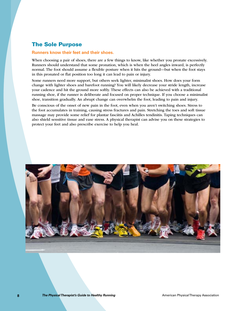## The Sole Purpose

### **Runners know their feet and their shoes.**

When choosing a pair of shoes, there are a few things to know, like whether you pronate excessively. Runners should understand that some pronation, which is when the heel angles inward, is perfectly normal. The foot should assume a flexible posture when it hits the ground—but when the foot stays in this pronated or flat position too long it can lead to pain or injury.

Some runners need more support, but others seek lighter, minimalist shoes. How does your form change with lighter shoes and barefoot running? You will likely decrease your stride length, increase your cadence and hit the ground more softly. These effects can also be achieved with a traditional running shoe, if the runner is deliberate and focused on proper technique. If you choose a minimalist shoe, transition gradually. An abrupt change can overwhelm the foot, leading to pain and injury.

Be conscious of the onset of new pain in the foot, even when you aren't switching shoes. Stress to the foot accumulates in training, causing stress fractures and pain. Stretching the toes and soft tissue massage may provide some relief for plantar fasciitis and Achilles tendinitis. Taping techniques can also shield sensitive tissue and ease stress. A physical therapist can advise you on these strategies to protect your feet and also prescribe exercise to help you heal.

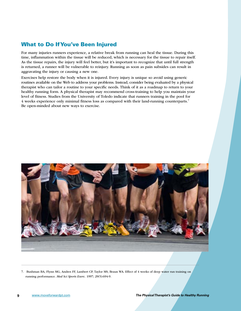# What to Do If You've Been Injured

For many injuries runners experience, a relative break from running can heal the tissue. During this time, inflammation within the tissue will be reduced, which is necessary for the tissue to repair itself. As the tissue repairs, the injury will feel better, but it's important to recognize that until full strength is returned, a runner will be vulnerable to reinjury. Running as soon as pain subsides can result in aggravating the injury or causing a new one.

Exercises help restore the body when it is injured. Every injury is unique so avoid using generic routines available on the Web to address your problems. Instead, consider being evaluated by a physical therapist who can tailor a routine to your specific needs. Think of it as a roadmap to return to your healthy running form. A physical therapist may recommend cross-training to help you maintain your level of fitness. Studies from the University of Toledo indicate that runners training in the pool for 4 weeks experience only minimal fitness loss as compared with their land-running counterparts.7 Be open-minded about new ways to exercise.



7. Bushman BA, Flynn MG, Andres FF, Lambert CP, Taylor MS, Braun WA. Effect of 4 weeks of deep water run training on running performance. *Med Sci Sports Exerc.* 1997; 29(5):694-9.

[www.moveforwardpt.com](http://www.moveforwardpt.com) *The Physical Therapist's Guide to Healthy Running*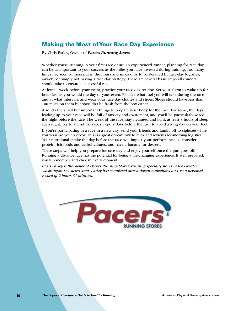# Making the Most of Your Race Day Experience

By Chris Farley, Owner of *Pacers Running Stores*

Whether you're running in your first race or are an experienced runner, planning for race day can be as important to your success as the miles you have invested during training. Too many times I've seen runners put in the hours and miles only to be derailed by race-day logistics, anxiety, or simply not having a race-day strategy. There are several basic steps all runners should take to ensure a successful race.

At least 1 week before your event, practice your race-day routine. Set your alarm to wake up for breakfast as you would the day of your event. Finalize what fuel you will take during the race and at what intervals, and wear your race day clothes and shoes. Shoes should have less than 100 miles on them but shouldn't be fresh from the box either.

Also, do the small but important things to prepare your body for the race. For some, the days leading up to your race will be full of anxiety and excitement, and you'll be particularly wired the night before the race. The week of the race, stay hydrated and bank at least 8 hours of sleep each night. Try to attend the race's expo 2 days before the race to avoid a long day on your feet.

If you're participating in a race in a new city, send your friends and family off to sightsee while you visualize your success. This is a great opportunity to relax and review race-morning logistics. Your nutritional intake the day before the race will impact your performance, so consider protein-rich foods and carbohydrates, and have a banana for dessert.

These steps will help you prepare for race day and enjoy yourself once the gun goes off. Running a distance race has the potential for being a life-changing experience. If well prepared, you'll remember and cherish every moment.

*Chris Farley is the owner of Pacers Running Stores, running specialty stores in the Greater Washington DC Metro area. Farley has completed over a dozen marathons and set a personal record of 2 hours 31 minutes.*